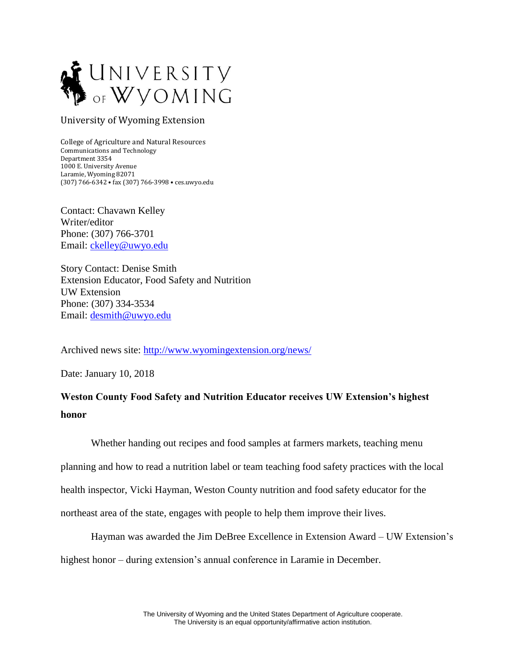

## University of Wyoming Extension

College of Agriculture and Natural Resources Communications and Technology Department 3354 1000 E. University Avenue Laramie, Wyoming 82071 (307) 766-6342 • fax (307) 766-3998 • ces.uwyo.edu

Contact: Chavawn Kelley Writer/editor Phone: (307) 766-3701 Email: [ckelley@uwyo.edu](mailto:ckelley@uwyo.edu)

Story Contact: Denise Smith Extension Educator, Food Safety and Nutrition UW Extension Phone: (307) 334-3534 Email: [desmith@uwyo.edu](mailto:desmith@uwyo.edu)

Archived news site:<http://www.wyomingextension.org/news/>

Date: January 10, 2018

## **Weston County Food Safety and Nutrition Educator receives UW Extension's highest honor**

Whether handing out recipes and food samples at farmers markets, teaching menu planning and how to read a nutrition label or team teaching food safety practices with the local health inspector, Vicki Hayman, Weston County nutrition and food safety educator for the northeast area of the state, engages with people to help them improve their lives.

Hayman was awarded the Jim DeBree Excellence in Extension Award – UW Extension's highest honor – during extension's annual conference in Laramie in December.